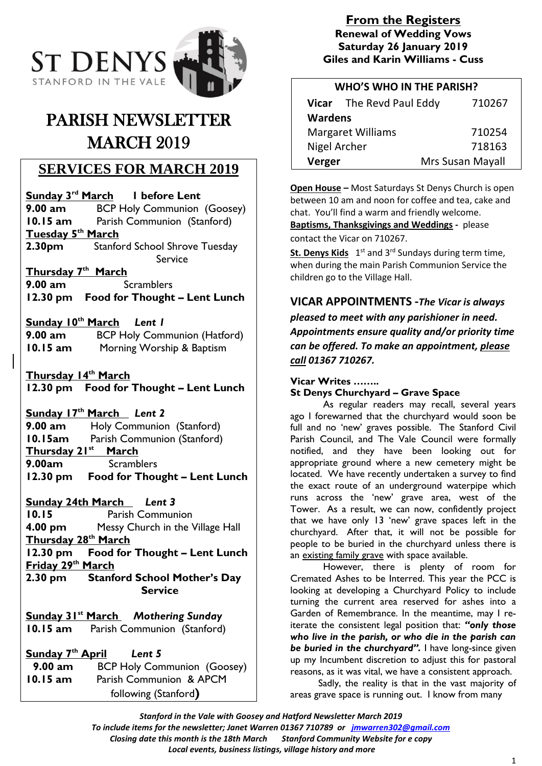

# PARISH NEWSLETTER **MARCH 2019**

### **SERVICES FOR MARCH 2019**

**Sunday 3 rd March 1 before Lent 9.00 am** BCP Holy Communion (Goosey) **10.15 am** Parish Communion (Stanford) **Tuesday 5th March 2.30pm** Stanford School Shrove Tuesday Service

### **Thursday 7 th March**

**9.00 am** Scramblers **12.30 pm Food for Thought – Lent Lunch**

**Sunday 10 th March** *Lent 1*

**9.00 am** BCP Holy Communion (Hatford) **10.15 am** Morning Worship & Baptism

**Thursday 14 th March 12.30 pm Food for Thought – Lent Lunch**

**Sunday 17 th March** *Lent 2* **9.00 am** Holy Communion (Stanford) **10.15am** Parish Communion (Stanford)

**Thursday 21 st March 9.00am** Scramblers **12.30 pm Food for Thought – Lent Lunch**

**Sunday 24th March** *Lent 3* **10.15** Parish Communion **4.00 pm** Messy Church in the Village Hall **Thursday 28 th March 12.30 pm Food for Thought – Lent Lunch Friday 29th March 2.30 pm Stanford School Mother's Day Service**

**Sunday 31st March** *Mothering Sunday* **10.15 am** Parish Communion (Stanford)

**Sunday 7th April** *Lent 5* **9.00 am** BCP Holy Communion (Goosey) **10.15 am** Parish Communion & APCM following (Stanford**)**

### **From the Registers Renewal of Wedding Vows Saturday 26 January 2019 Giles and Karin Williams - Cuss**

| <b>WHO'S WHO IN THE PARISH?</b> |                          |                  |
|---------------------------------|--------------------------|------------------|
|                                 | Vicar The Revd Paul Eddy | 710267           |
| <b>Wardens</b>                  |                          |                  |
| <b>Margaret Williams</b>        |                          | 710254           |
| Nigel Archer                    |                          | 718163           |
| Verger                          |                          | Mrs Susan Mayall |

**Open House –** Most Saturdays St Denys Church is open between 10 am and noon for coffee and tea, cake and chat. You'll find a warm and friendly welcome. **Baptisms, Thanksgivings and Weddings -** please contact the Vicar on 710267.

St. Denys Kids 1<sup>st</sup> and 3<sup>rd</sup> Sundays during term time, when during the main Parish Communion Service the children go to the Village Hall.

**VICAR APPOINTMENTS -***The Vicar is always pleased to meet with any parishioner in need. Appointments ensure quality and/or priority time can be offered. To make an appointment, please call 01367 710267.*

#### **Vicar Writes ……..**

**St Denys Churchyard – Grave Space**

As regular readers may recall, several years ago I forewarned that the churchyard would soon be full and no 'new' graves possible. The Stanford Civil Parish Council, and The Vale Council were formally notified, and they have been looking out for appropriate ground where a new cemetery might be located. We have recently undertaken a survey to find the exact route of an underground waterpipe which runs across the 'new' grave area, west of the Tower. As a result, we can now, confidently project that we have only 13 'new' grave spaces left in the churchyard. After that, it will not be possible for people to be buried in the churchyard unless there is an existing family grave with space available.

However, there is plenty of room for Cremated Ashes to be Interred. This year the PCC is looking at developing a Churchyard Policy to include turning the current area reserved for ashes into a Garden of Remembrance. In the meantime, may I reiterate the consistent legal position that: *"only those who live in the parish, or who die in the parish can be buried in the churchyard".* I have long-since given up my Incumbent discretion to adjust this for pastoral reasons, as it was vital, we have a consistent approach.

 Sadly, the reality is that in the vast majority of areas grave space is running out. I know from many

*Stanford in the Vale with Goosey and Hatford Newsletter March 2019 To include items for the newsletter; Janet Warren 01367 710789 or [jmwarren302@gmail.com](mailto:jmwarren302@gmail.com)*

*Closing date this month is the 18th March Stanford Community Website for e copy*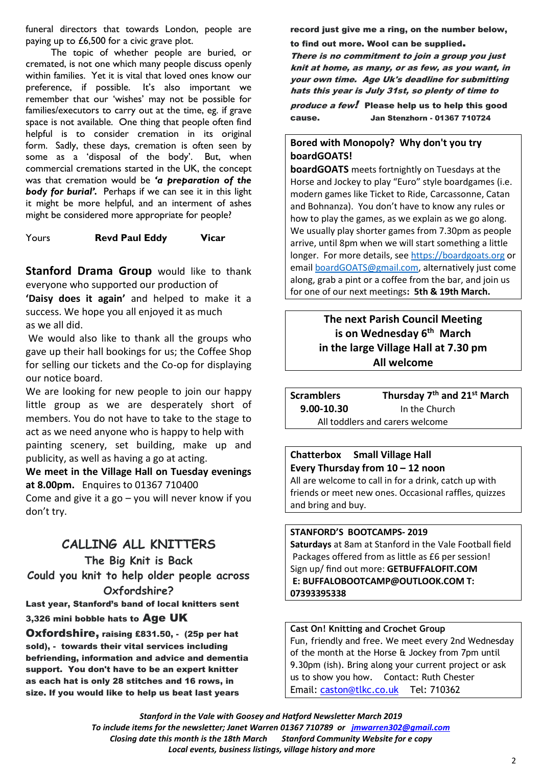funeral directors that towards London, people are paying up to £6,500 for a civic grave plot.

 The topic of whether people are buried, or cremated, is not one which many people discuss openly within families. Yet it is vital that loved ones know our preference, if possible. It's also important we remember that our 'wishes' may not be possible for families/executors to carry out at the time, eg. if grave space is not available. One thing that people often find helpful is to consider cremation in its original form. Sadly, these days, cremation is often seen by some as a 'disposal of the body'. But, when commercial cremations started in the UK, the concept was that cremation would be *'a preparation of the body for burial'.* Perhaps if we can see it in this light it might be more helpful, and an interment of ashes might be considered more appropriate for people?

#### Yours **Revd Paul Eddy Vicar**

**Stanford Drama Group** would like to thank everyone who supported our production of

**'Daisy does it again'** and helped to make it a success. We hope you all enjoyed it as much as we all did.

We would also like to thank all the groups who gave up their hall bookings for us; the Coffee Shop for selling our tickets and the Co-op for displaying our notice board.

We are looking for new people to join our happy little group as we are desperately short of members. You do not have to take to the stage to act as we need anyone who is happy to help with painting scenery, set building, make up and publicity, as well as having a go at acting.

**We meet in the Village Hall on Tuesday evenings at 8.00pm.** Enquires to 01367 710400

Come and give it a go  $-$  you will never know if you don't try.

### **CALLING ALL KNITTERS**

**The Big Knit is Back Could you knit to help older people across Oxfordshire?**

Last year, Stanford's band of local knitters sent 3,326 mini bobble hats to Age UK

Oxfordshire, raising £831.50, - (25p per hat sold), - towards their vital services including befriending, information and advice and dementia support. You don't have to be an expert knitter as each hat is only 28 stitches and 16 rows, in size. If you would like to help us beat last years

record just give me a ring, on the number below,

to find out more. Wool can be supplied.

There is no commitment to join a group you just knit at home, as many, or as few, as you want, in your own time. Age Uk's deadline for submitting hats this year is July 31st, so plenty of time to produce a few! Please help us to help this good cause. Jan Stenzhorn - 01367 710724

#### **Bored with Monopoly? Why don't you try boardGOATS!**

**boardGOATS** meets fortnightly on Tuesdays at the Horse and Jockey to play "Euro" style boardgames (i.e. modern games like Ticket to Ride, Carcassonne, Catan and Bohnanza). You don't have to know any rules or how to play the games, as we explain as we go along. We usually play shorter games from 7.30pm as people arrive, until 8pm when we will start something a little longer. For more details, se[e https://boardgoats.org](https://boardgoats.org/) or email [boardGOATS@gmail.com,](mailto:boardGOATS@gmail.com) alternatively just come along, grab a pint or a coffee from the bar, and join us for one of our next meetings**: 5th & 19th March.**

### **The next Parish Council Meeting is on Wednesday 6 th March in the large Village Hall at 7.30 pm All welcome**

**Scramblers Thursday 7 th and 21st March 9.00-10.30** In the Church All toddlers and carers welcome

## **Chatterbox Small Village Hall Every Thursday from 10 – 12 noon**

All are welcome to call in for a drink, catch up with friends or meet new ones. Occasional raffles, quizzes and bring and buy.

#### **STANFORD'S BOOTCAMPS- 2019**

**Saturdays** at 8am at Stanford in the Vale Football field Packages offered from as little as £6 per session! Sign up/ find out more: **GETBUFFALOFIT.COM E: BUFFALOBOOTCAMP@OUTLOOK.COM T: 07393395338**

#### **Cast On! Knitting and Crochet Group**

Fun, friendly and free. We meet every 2nd Wednesday of the month at the Horse & Jockey from 7pm until 9.30pm (ish). Bring along your current project or ask us to show you how. Contact: Ruth Chester Email: [caston@tlkc.co.uk](mailto:caston@tlkc.co.uk) Tel: 710362

*Stanford in the Vale with Goosey and Hatford Newsletter March 2019 To include items for the newsletter; Janet Warren 01367 710789 or [jmwarren302@gmail.com](mailto:jmwarren302@gmail.com)*

*Closing date this month is the 18th March Stanford Community Website for e copy*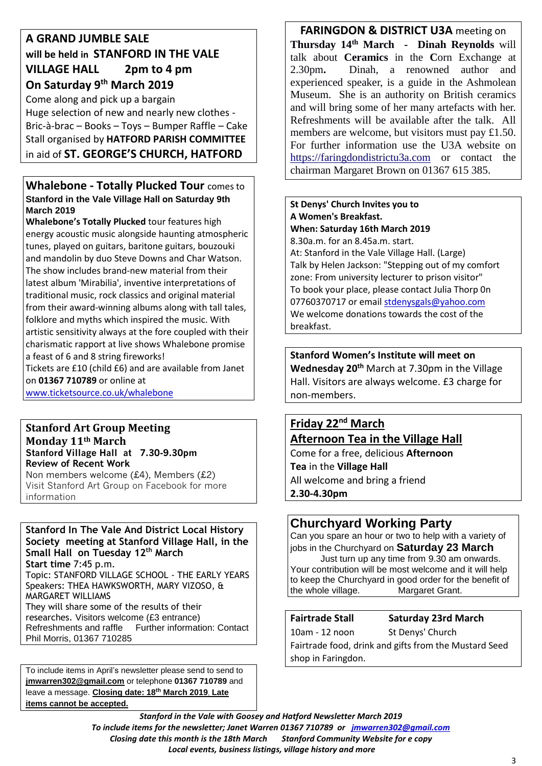### **A GRAND JUMBLE SALE will be held in STANFORD IN THE VALE VILLAGE HALL 2pm to 4 pm On Saturday 9th March 2019**

Come along and pick up a bargain Huge selection of new and nearly new clothes - Bric-à-brac – Books – Toys – Bumper Raffle – Cake Stall organised by **HATFORD PARISH COMMITTEE** in aid of **ST. GEORGE'S CHURCH, HATFORD**

### **Whalebone - Totally Plucked Tour** comes to **Stanford in the Vale Village Hall on Saturday 9th March 2019**

**Whalebone's Totally Plucked** tour features high energy acoustic music alongside haunting atmospheric tunes, played on guitars, baritone guitars, bouzouki and mandolin by duo Steve Downs and Char Watson. The show includes brand-new material from their latest album 'Mirabilia', inventive interpretations of traditional music, rock classics and original material from their award-winning albums along with tall tales, folklore and myths which inspired the music. With artistic sensitivity always at the fore coupled with their charismatic rapport at live shows Whalebone promise a feast of 6 and 8 string fireworks! Tickets are £10 (child £6) and are available from Janet

on **01367 710789** or online at

[www.ticketsource.co.uk/whalebone](http://www.ticketsource.co.uk/whalebone)

#### **Stanford Art Group Meeting Monday 11th March Stanford Village Hall at 7.30-9.30pm Review of Recent Work**

Non members welcome (£4), Members (£2) Visit Stanford Art Group on Facebook for more information

#### **Stanford In The Vale And District Local History Society meeting at Stanford Village Hall, in the Small Hall on Tuesday 12th March Start time** 7:45 p.m. Topic: STANFORD VILLAGE SCHOOL - THE EARLY YEARS Speakers: THEA HAWKSWORTH, MARY VIZOSO, &

MARGARET WILLIAMS They will share some of the results of their researches. Visitors welcome (£3 entrance) Refreshments and raffle Further information: Contact Phil Morris, 01367 710285

To include items in April's newsletter please send to send to **[jmwarren302@gmail.com](mailto:jmwarren302@gmail.com)** or telephone **01367 710789** and leave a message. **Closing date: 18th March 2019**. **Late items cannot be accepted.**

**FARINGDON & DISTRICT U3A meeting on Thursday 14th March - Dinah Reynolds** will talk about **Ceramics** in the **C**orn Exchange at 2.30pm**.** Dinah, a renowned author and experienced speaker, is a guide in the Ashmolean Museum. She is an authority on British ceramics and will bring some of her many artefacts with her. Refreshments will be available after the talk. All members are welcome, but visitors must pay £1.50. For further information use the U3A website on [https://faringdondistrictu3a.com](https://faringdondistrictu3a.com/) or contact the chairman Margaret Brown on 01367 615 385.

#### **St Denys' Church Invites you to A Women's Breakfast. When: Saturday 16th March 2019**

8.30a.m. for an 8.45a.m. start.

At: Stanford in the Vale Village Hall. (Large) Talk by Helen Jackson: "Stepping out of my comfort zone: From university lecturer to prison visitor" To book your place, please contact Julia Thorp 0n 07760370717 or email [stdenysgals@yahoo.com](mailto:stdenysgals@yahoo.com) We welcome donations towards the cost of the breakfast.

**Stanford Women's Institute will meet on Wednesday 20th** March at 7.30pm in the Village Hall. Visitors are always welcome. £3 charge for non-members.

### **Friday 22nd March Afternoon Tea in the Village Hall**

Come for a free, delicious **Afternoon Tea** in the **Village Hall** All welcome and bring a friend **2.30-4.30pm**

### **Churchyard Working Party**

Can you spare an hour or two to help with a variety of jobs in the Churchyard on **Saturday 23 March**

 Just turn up any time from 9.30 am onwards. Your contribution will be most welcome and it will help to keep the Churchyard in good order for the benefit of the whole village. Margaret Grant.

**Fairtrade Stall Saturday 23rd March**

10am - 12 noon St Denys' Church Fairtrade food, drink and gifts from the Mustard Seed shop in Faringdon.

*Stanford in the Vale with Goosey and Hatford Newsletter March 2019 To include items for the newsletter; Janet Warren 01367 710789 or [jmwarren302@gmail.com](mailto:jmwarren302@gmail.com) Closing date this month is the 18th March Stanford Community Website for e copy Local events, business listings, village history and more*